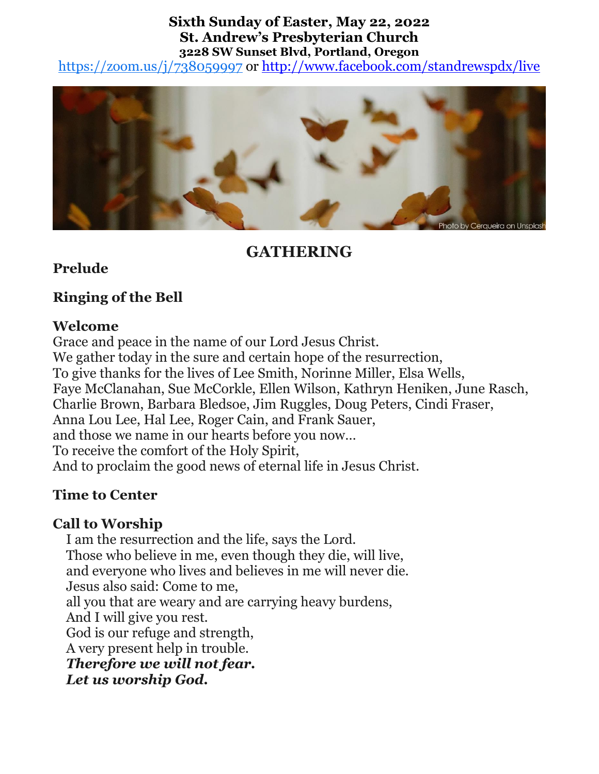#### **Sixth Sunday of Easter, May 22, 2022 St. Andrew's Presbyterian Church 3228 SW Sunset Blvd, Portland, Oregon**

<https://zoom.us/j/738059997> or<http://www.facebook.com/standrewspdx/live>



# **GATHERING**

## **Prelude**

# **Ringing of the Bell**

## **Welcome**

Grace and peace in the name of our Lord Jesus Christ. We gather today in the sure and certain hope of the resurrection, To give thanks for the lives of Lee Smith, Norinne Miller, Elsa Wells, Faye McClanahan, Sue McCorkle, Ellen Wilson, Kathryn Heniken, June Rasch, Charlie Brown, Barbara Bledsoe, Jim Ruggles, Doug Peters, Cindi Fraser, Anna Lou Lee, Hal Lee, Roger Cain, and Frank Sauer, and those we name in our hearts before you now… To receive the comfort of the Holy Spirit, And to proclaim the good news of eternal life in Jesus Christ.

# **Time to Center**

# **Call to Worship**

I am the resurrection and the life, says the Lord. Those who believe in me, even though they die, will live, and everyone who lives and believes in me will never die. Jesus also said: Come to me, all you that are weary and are carrying heavy burdens, And I will give you rest. God is our refuge and strength, A very present help in trouble. *Therefore we will not fear. Let us worship God.*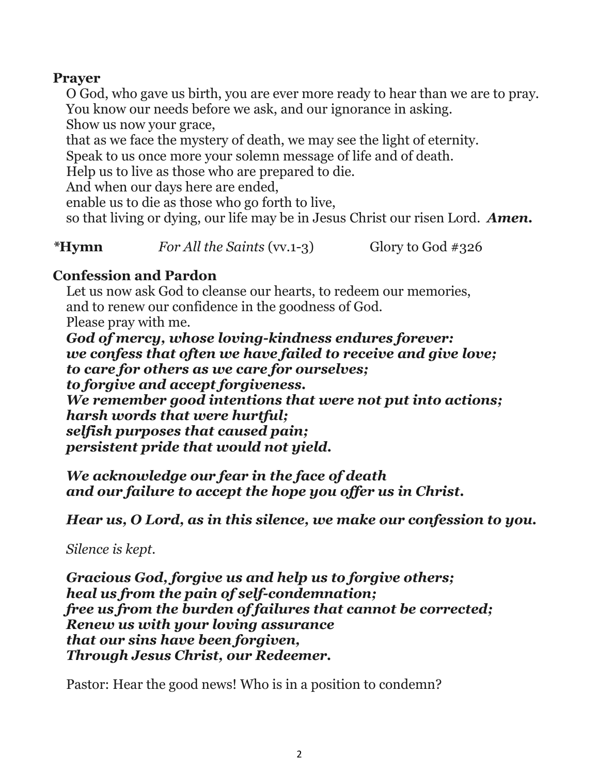### **Prayer**

O God, who gave us birth, you are ever more ready to hear than we are to pray. You know our needs before we ask, and our ignorance in asking.

Show us now your grace,

that as we face the mystery of death, we may see the light of eternity.

Speak to us once more your solemn message of life and of death.

Help us to live as those who are prepared to die.

And when our days here are ended,

enable us to die as those who go forth to live,

so that living or dying, our life may be in Jesus Christ our risen Lord. *Amen.*

*\****Hymn** *For All the Saints* (vv.1-3) Glory to God #326

### **Confession and Pardon**

Let us now ask God to cleanse our hearts, to redeem our memories, and to renew our confidence in the goodness of God. Please pray with me.

*God of mercy, whose loving-kindness endures forever: we confess that often we have failed to receive and give love; to care for others as we care for ourselves; to forgive and accept forgiveness. We remember good intentions that were not put into actions; harsh words that were hurtful; selfish purposes that caused pain; persistent pride that would not yield.*

*We acknowledge our fear in the face of death and our failure to accept the hope you offer us in Christ.*

*Hear us, O Lord, as in this silence, we make our confession to you.*

*Silence is kept.*

*Gracious God, forgive us and help us to forgive others; heal us from the pain of self-condemnation; free us from the burden of failures that cannot be corrected; Renew us with your loving assurance that our sins have been forgiven, Through Jesus Christ, our Redeemer.* 

Pastor: Hear the good news! Who is in a position to condemn?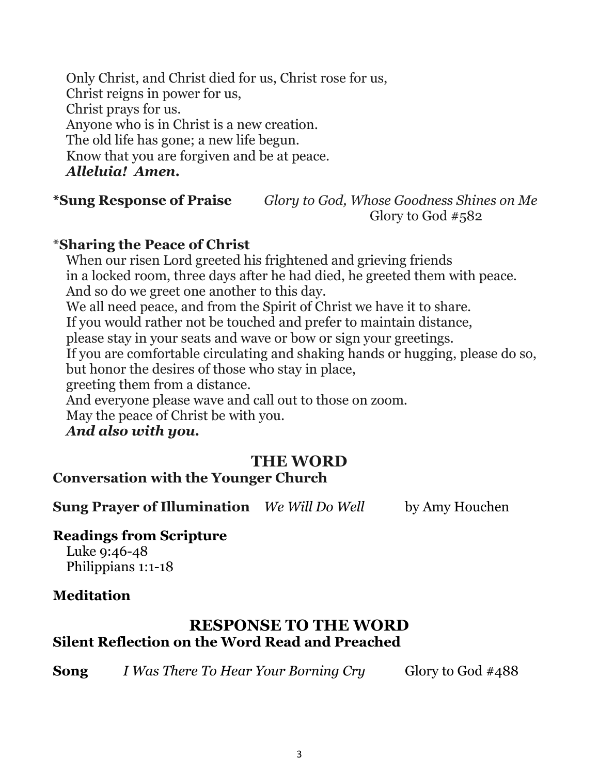Only Christ, and Christ died for us, Christ rose for us, Christ reigns in power for us, Christ prays for us. Anyone who is in Christ is a new creation. The old life has gone; a new life begun. Know that you are forgiven and be at peace. *Alleluia! Amen.*

**\*Sung Response of Praise** *Glory to God, Whose Goodness Shines on Me* Glory to God #582

### \***Sharing the Peace of Christ**

When our risen Lord greeted his frightened and grieving friends in a locked room, three days after he had died, he greeted them with peace. And so do we greet one another to this day. We all need peace, and from the Spirit of Christ we have it to share. If you would rather not be touched and prefer to maintain distance, please stay in your seats and wave or bow or sign your greetings. If you are comfortable circulating and shaking hands or hugging, please do so, but honor the desires of those who stay in place, greeting them from a distance. And everyone please wave and call out to those on zoom. May the peace of Christ be with you. *And also with you.*

# **THE WORD**

# **Conversation with the Younger Church**

**Sung Prayer of Illumination** *We Will Do Well* by Amy Houchen

### **Readings from Scripture**

Luke 9:46-48 Philippians 1:1-18

### **Meditation**

# **RESPONSE TO THE WORD Silent Reflection on the Word Read and Preached**

**Song** *I Was There To Hear Your Borning Cry* Glory to God #488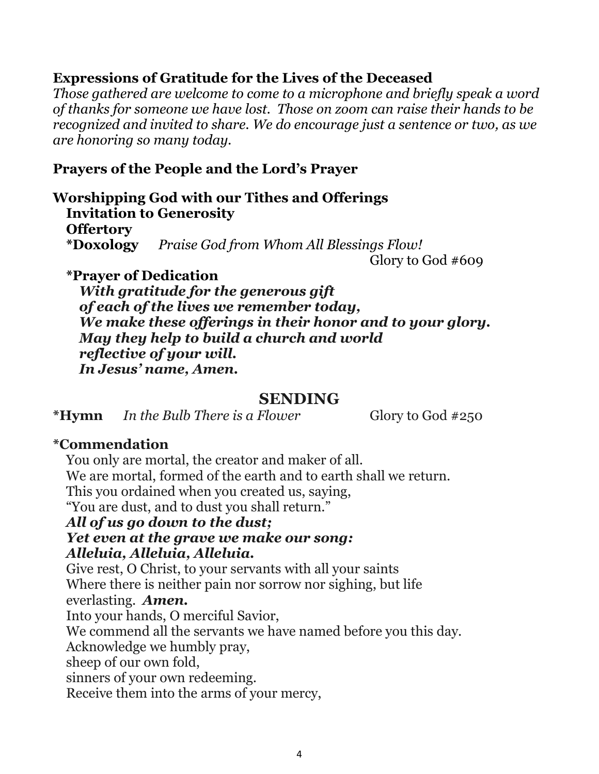### **Expressions of Gratitude for the Lives of the Deceased**

*Those gathered are welcome to come to a microphone and briefly speak a word of thanks for someone we have lost. Those on zoom can raise their hands to be recognized and invited to share. We do encourage just a sentence or two, as we are honoring so many today.* 

#### **Prayers of the People and the Lord's Prayer**

**Worshipping God with our Tithes and Offerings Invitation to Generosity Offertory \*Doxology** *Praise God from Whom All Blessings Flow!*

Glory to God #609

#### **\*Prayer of Dedication**

*With gratitude for the generous gift of each of the lives we remember today, We make these offerings in their honor and to your glory. May they help to build a church and world reflective of your will. In Jesus' name, Amen.*

#### **SENDING**

**\*Hymn** *In the Bulb There is a Flower* Glory to God #250

### **\*Commendation**

You only are mortal, the creator and maker of all. We are mortal, formed of the earth and to earth shall we return. This you ordained when you created us, saying, "You are dust, and to dust you shall return." *All of us go down to the dust; Yet even at the grave we make our song:*

#### *Alleluia, Alleluia, Alleluia.*

Give rest, O Christ, to your servants with all your saints Where there is neither pain nor sorrow nor sighing, but life everlasting. *Amen.*

Into your hands, O merciful Savior,

We commend all the servants we have named before you this day.

Acknowledge we humbly pray,

sheep of our own fold,

sinners of your own redeeming.

Receive them into the arms of your mercy,